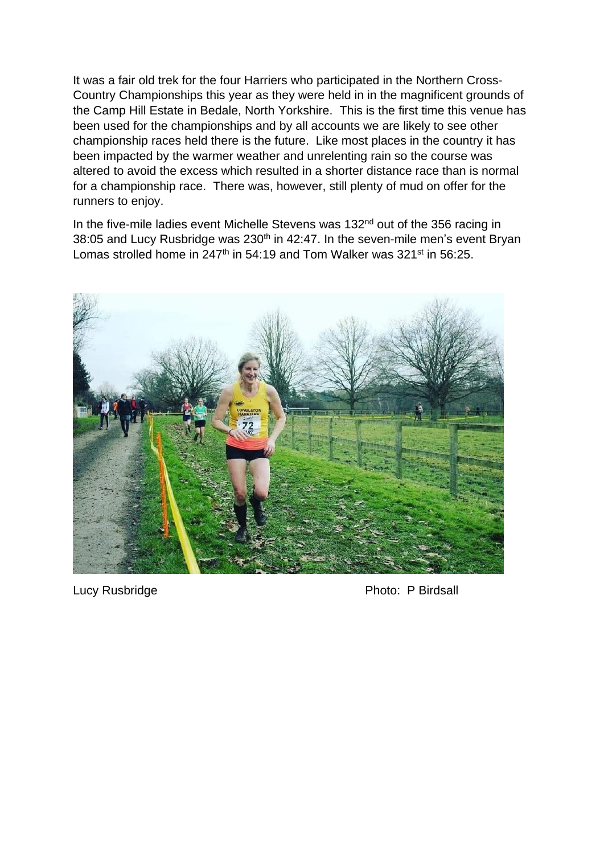It was a fair old trek for the four Harriers who participated in the Northern Cross-Country Championships this year as they were held in in the magnificent grounds of the Camp Hill Estate in Bedale, North Yorkshire. This is the first time this venue has been used for the championships and by all accounts we are likely to see other championship races held there is the future. Like most places in the country it has been impacted by the warmer weather and unrelenting rain so the course was altered to avoid the excess which resulted in a shorter distance race than is normal for a championship race. There was, however, still plenty of mud on offer for the runners to enjoy.

In the five-mile ladies event Michelle Stevens was 132<sup>nd</sup> out of the 356 racing in 38:05 and Lucy Rusbridge was 230<sup>th</sup> in 42:47. In the seven-mile men's event Bryan Lomas strolled home in 247<sup>th</sup> in 54:19 and Tom Walker was 321<sup>st</sup> in 56:25.



Lucy Rusbridge **Photo: P Birdsall**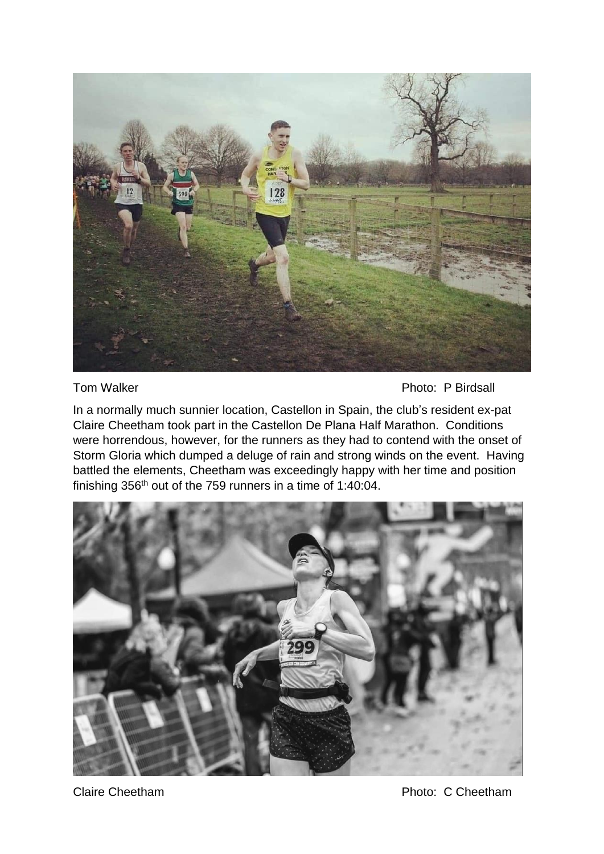

Tom Walker **Photo: P Birdsall** 

In a normally much sunnier location, Castellon in Spain, the club's resident ex-pat Claire Cheetham took part in the Castellon De Plana Half Marathon. Conditions were horrendous, however, for the runners as they had to contend with the onset of Storm Gloria which dumped a deluge of rain and strong winds on the event. Having battled the elements, Cheetham was exceedingly happy with her time and position finishing 356th out of the 759 runners in a time of 1:40:04.



Claire Cheetham **Photo: C Cheetham** Photo: C Cheetham